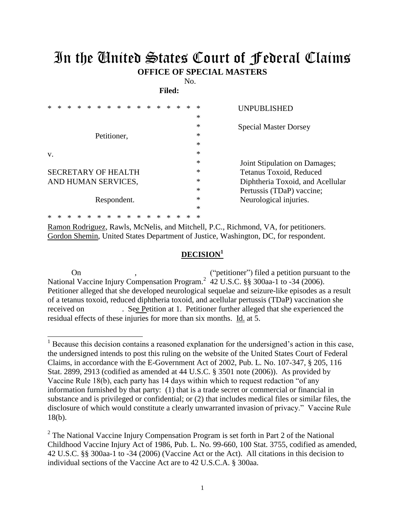## In the United States Court of Federal Claims **OFFICE OF SPECIAL MASTERS**

No. **Filed:** 

| *  | ∗ |  | $\ast$ | $\ast$              | $\ast$ | $\ast$ | $\ast$ | $\ast$ |  | * | *                | UNPUBLISHED                      |
|----|---|--|--------|---------------------|--------|--------|--------|--------|--|---|------------------|----------------------------------|
|    |   |  |        |                     |        |        |        |        |  |   | $\ast$           |                                  |
|    |   |  |        |                     |        |        |        |        |  |   | $\ast$           | <b>Special Master Dorsey</b>     |
|    |   |  |        | Petitioner,         |        |        |        |        |  |   | $\ast$           |                                  |
|    |   |  |        |                     |        |        |        |        |  |   | $\ast$           |                                  |
| v. |   |  |        |                     |        |        |        |        |  |   | $\ast$<br>$\ast$ |                                  |
|    |   |  |        |                     |        |        |        |        |  |   |                  | Joint Stipulation on Damages;    |
|    |   |  |        | SECRETARY OF HEALTH |        |        |        |        |  |   | $\ast$           | Tetanus Toxoid, Reduced          |
|    |   |  |        | AND HUMAN SERVICES, |        |        |        |        |  |   | ∗                | Diphtheria Toxoid, and Acellular |
|    |   |  |        |                     |        |        |        |        |  |   | $\ast$           | Pertussis (TDaP) vaccine;        |
|    |   |  |        | Respondent.         |        |        |        |        |  |   | $\ast$           | Neurological injuries.           |
|    |   |  |        |                     |        |        |        |        |  |   | *                |                                  |
|    |   |  |        |                     |        |        |        |        |  | ж | ∗                |                                  |

Ramon Rodriguez, Rawls, McNelis, and Mitchell, P.C., Richmond, VA, for petitioners. Gordon Shemin, United States Department of Justice, Washington, DC, for respondent.

 $\overline{a}$ 

## **DECISION<sup>1</sup>**

On , the contract of the contract of the contract of the contract of the contract of the contract of the contract of the contract of the contract of the contract of the contract of the contract of the contract of the contr National Vaccine Injury Compensation Program.<sup>2</sup> 42 U.S.C. §§ 300aa-1 to -34 (2006). Petitioner alleged that she developed neurological sequelae and seizure-like episodes as a result of a tetanus toxoid, reduced diphtheria toxoid, and acellular pertussis (TDaP) vaccination she received on . See Petition at 1. Petitioner further alleged that she experienced the residual effects of these injuries for more than six months. Id. at 5.

<sup>&</sup>lt;sup>1</sup> Because this decision contains a reasoned explanation for the undersigned's action in this case, the undersigned intends to post this ruling on the website of the United States Court of Federal Claims, in accordance with the E-Government Act of 2002, Pub. L. No. 107-347, § 205, 116 Stat. 2899, 2913 (codified as amended at 44 U.S.C. § 3501 note (2006)). As provided by Vaccine Rule 18(b), each party has 14 days within which to request redaction "of any information furnished by that party: (1) that is a trade secret or commercial or financial in substance and is privileged or confidential; or (2) that includes medical files or similar files, the disclosure of which would constitute a clearly unwarranted invasion of privacy." Vaccine Rule 18(b).

 $2^2$  The National Vaccine Injury Compensation Program is set forth in Part 2 of the National Childhood Vaccine Injury Act of 1986, Pub. L. No. 99-660, 100 Stat. 3755, codified as amended, 42 U.S.C. §§ 300aa-1 to -34 (2006) (Vaccine Act or the Act). All citations in this decision to individual sections of the Vaccine Act are to 42 U.S.C.A. § 300aa.